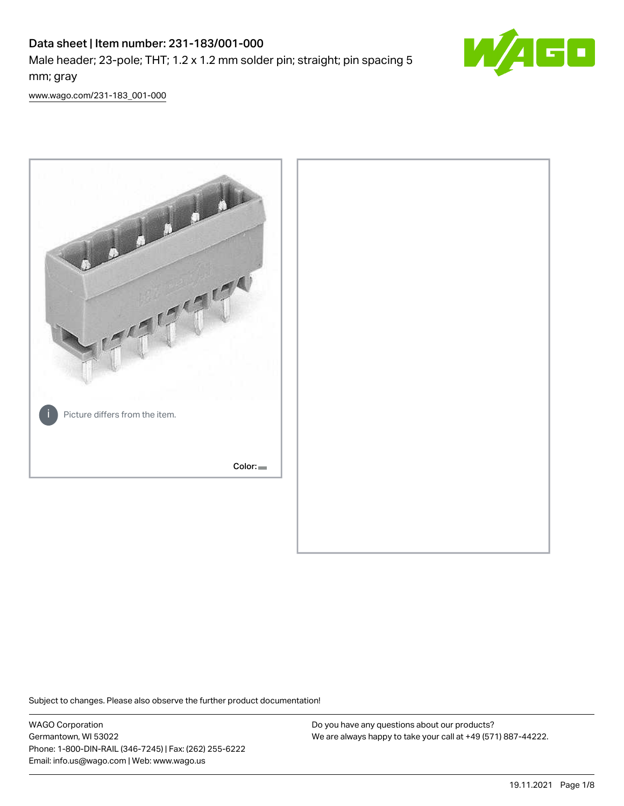# Data sheet | Item number: 231-183/001-000 Male header; 23-pole; THT; 1.2 x 1.2 mm solder pin; straight; pin spacing 5 mm; gray



[www.wago.com/231-183\\_001-000](http://www.wago.com/231-183_001-000)



Subject to changes. Please also observe the further product documentation!

WAGO Corporation Germantown, WI 53022 Phone: 1-800-DIN-RAIL (346-7245) | Fax: (262) 255-6222 Email: info.us@wago.com | Web: www.wago.us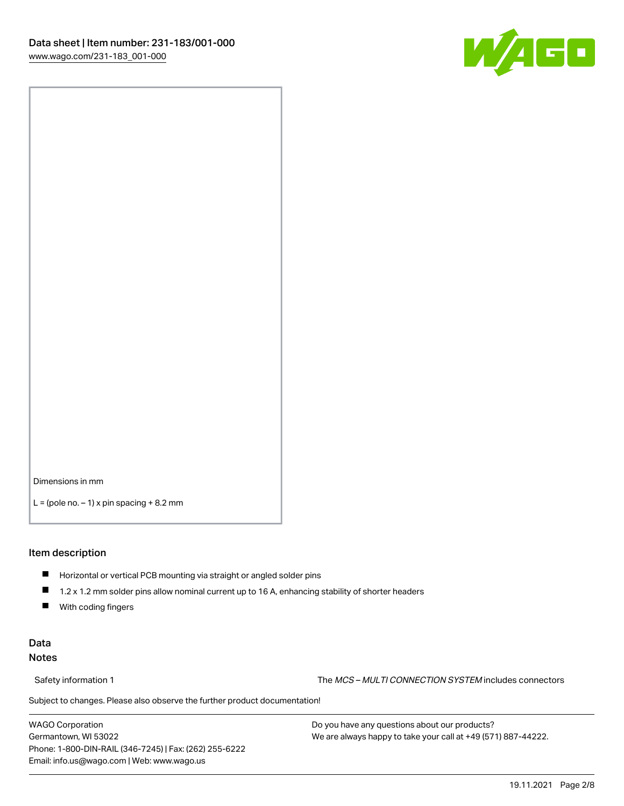

Dimensions in mm

 $L =$  (pole no.  $-1$ ) x pin spacing  $+8.2$  mm

#### Item description

- **Horizontal or vertical PCB mounting via straight or angled solder pins**
- 1.2 x 1.2 mm solder pins allow nominal current up to 16 A, enhancing stability of shorter headers
- $\blacksquare$ With coding fingers

#### Data Notes

Safety information 1 The MCS – MULTI CONNECTION SYSTEM includes connectors

Subject to changes. Please also observe the further product documentation!  $\nu$ 

WAGO Corporation Germantown, WI 53022 Phone: 1-800-DIN-RAIL (346-7245) | Fax: (262) 255-6222 Email: info.us@wago.com | Web: www.wago.us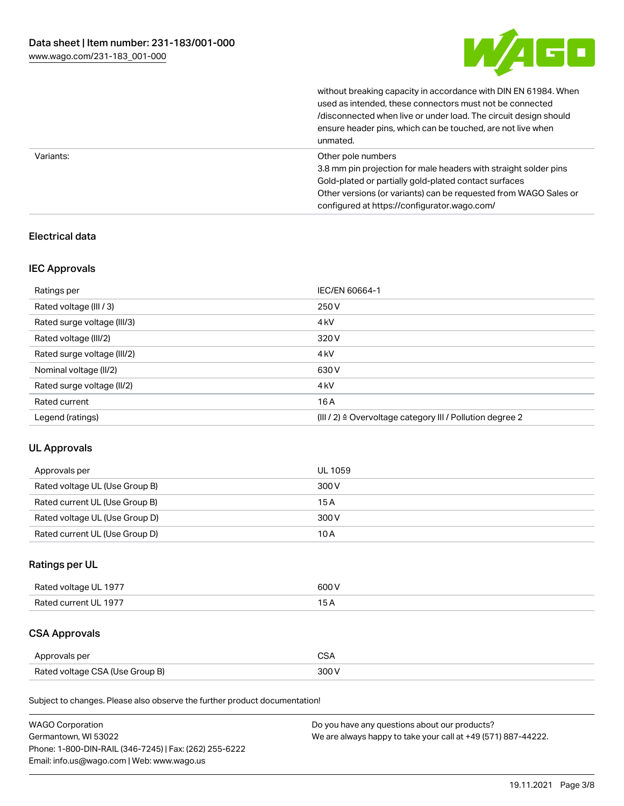

|           | without breaking capacity in accordance with DIN EN 61984. When<br>used as intended, these connectors must not be connected<br>/disconnected when live or under load. The circuit design should<br>ensure header pins, which can be touched, are not live when<br>unmated. |
|-----------|----------------------------------------------------------------------------------------------------------------------------------------------------------------------------------------------------------------------------------------------------------------------------|
| Variants: | Other pole numbers<br>3.8 mm pin projection for male headers with straight solder pins<br>Gold-plated or partially gold-plated contact surfaces<br>Other versions (or variants) can be requested from WAGO Sales or<br>configured at https://configurator.wago.com/        |

## Electrical data

#### IEC Approvals

| Ratings per                 | IEC/EN 60664-1                                            |
|-----------------------------|-----------------------------------------------------------|
| Rated voltage (III / 3)     | 250 V                                                     |
| Rated surge voltage (III/3) | 4 <sub>k</sub> V                                          |
| Rated voltage (III/2)       | 320 V                                                     |
| Rated surge voltage (III/2) | 4 <sub>k</sub> V                                          |
| Nominal voltage (II/2)      | 630 V                                                     |
| Rated surge voltage (II/2)  | 4 <sub>k</sub> V                                          |
| Rated current               | 16A                                                       |
| Legend (ratings)            | (III / 2) ≙ Overvoltage category III / Pollution degree 2 |

## UL Approvals

| Approvals per                  | UL 1059 |
|--------------------------------|---------|
| Rated voltage UL (Use Group B) | 300 V   |
| Rated current UL (Use Group B) | 15 A    |
| Rated voltage UL (Use Group D) | 300 V   |
| Rated current UL (Use Group D) | 10 A    |

## Ratings per UL

| Rated voltage UL 1977 | 600 V |
|-----------------------|-------|
| Rated current UL 1977 |       |

## CSA Approvals

| Approvals per                   | ~~    |
|---------------------------------|-------|
| Rated voltage CSA (Use Group B) | 3UU 1 |

Subject to changes. Please also observe the further product documentation!

| <b>WAGO Corporation</b>                                | Do you have any questions about our products?                 |
|--------------------------------------------------------|---------------------------------------------------------------|
| Germantown, WI 53022                                   | We are always happy to take your call at +49 (571) 887-44222. |
| Phone: 1-800-DIN-RAIL (346-7245)   Fax: (262) 255-6222 |                                                               |
| Email: info.us@wago.com   Web: www.wago.us             |                                                               |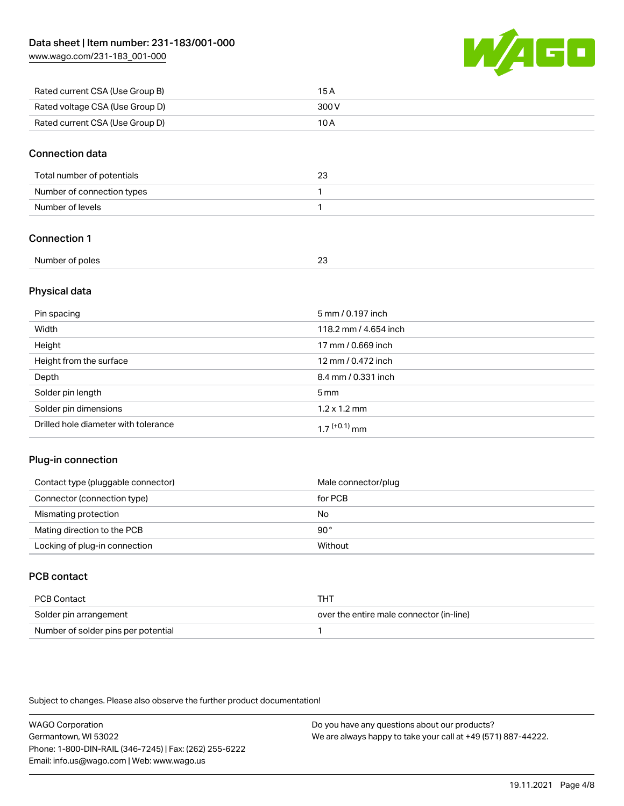[www.wago.com/231-183\\_001-000](http://www.wago.com/231-183_001-000)



| Rated current CSA (Use Group B) | 15 A  |
|---------------------------------|-------|
| Rated voltage CSA (Use Group D) | 300 V |
| Rated current CSA (Use Group D) | 10 A  |

#### Connection data

| Total number of potentials |  |
|----------------------------|--|
| Number of connection types |  |
| Number of levels           |  |

#### Connection 1

| Number of poles |  |  |
|-----------------|--|--|
|-----------------|--|--|

#### Physical data

| Pin spacing                          | 5 mm / 0.197 inch     |
|--------------------------------------|-----------------------|
| Width                                | 118.2 mm / 4.654 inch |
| Height                               | 17 mm / 0.669 inch    |
| Height from the surface              | 12 mm / 0.472 inch    |
| Depth                                | 8.4 mm / 0.331 inch   |
| Solder pin length                    | $5 \,\mathrm{mm}$     |
| Solder pin dimensions                | $1.2 \times 1.2$ mm   |
| Drilled hole diameter with tolerance | $17^{(+0.1)}$ mm      |

#### Plug-in connection

| Contact type (pluggable connector) | Male connector/plug |
|------------------------------------|---------------------|
| Connector (connection type)        | for PCB             |
| Mismating protection               | No                  |
| Mating direction to the PCB        | $90^{\circ}$        |
| Locking of plug-in connection      | Without             |

## PCB contact

| PCB Contact                         | THT                                      |
|-------------------------------------|------------------------------------------|
| Solder pin arrangement              | over the entire male connector (in-line) |
| Number of solder pins per potential |                                          |

Subject to changes. Please also observe the further product documentation!

WAGO Corporation Germantown, WI 53022 Phone: 1-800-DIN-RAIL (346-7245) | Fax: (262) 255-6222 Email: info.us@wago.com | Web: www.wago.us Do you have any questions about our products? We are always happy to take your call at +49 (571) 887-44222.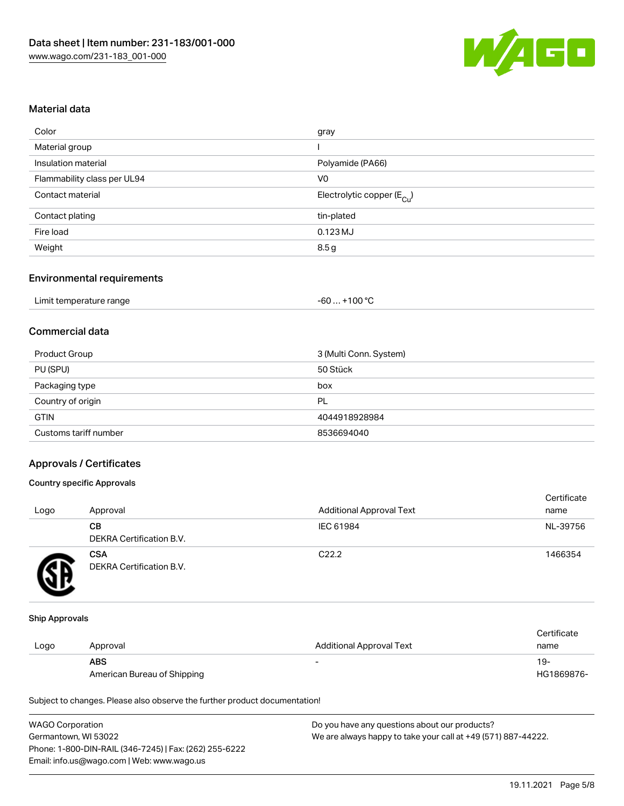

#### Material data

| gray                                   |
|----------------------------------------|
|                                        |
| Polyamide (PA66)                       |
| V <sub>0</sub>                         |
| Electrolytic copper (E <sub>Cu</sub> ) |
| tin-plated                             |
| $0.123$ MJ                             |
| 8.5g                                   |
|                                        |

#### Environmental requirements

| Limit temperature range | $+100 °C$<br>-60 |
|-------------------------|------------------|
|-------------------------|------------------|

## Commercial data

| Product Group         | 3 (Multi Conn. System) |
|-----------------------|------------------------|
| PU (SPU)              | 50 Stück               |
| Packaging type        | box                    |
| Country of origin     | PL                     |
| <b>GTIN</b>           | 4044918928984          |
| Customs tariff number | 8536694040             |

#### Approvals / Certificates

#### Country specific Approvals

| Logo | Approval                               | <b>Additional Approval Text</b> | Certificate<br>name |
|------|----------------------------------------|---------------------------------|---------------------|
|      | CВ<br><b>DEKRA Certification B.V.</b>  | IEC 61984                       | NL-39756            |
|      | <b>CSA</b><br>DEKRA Certification B.V. | C <sub>22.2</sub>               | 1466354             |

#### Ship Approvals

|      |                             |                                 | Certificate |
|------|-----------------------------|---------------------------------|-------------|
| Logo | Approval                    | <b>Additional Approval Text</b> | name        |
|      | <b>ABS</b>                  | $\overline{\phantom{0}}$        | -19         |
|      | American Bureau of Shipping |                                 | HG1869876-  |

Subject to changes. Please also observe the further product documentation!

| <b>WAGO Corporation</b>                                | Do you have any questions about our products?                 |
|--------------------------------------------------------|---------------------------------------------------------------|
| Germantown, WI 53022                                   | We are always happy to take your call at +49 (571) 887-44222. |
| Phone: 1-800-DIN-RAIL (346-7245)   Fax: (262) 255-6222 |                                                               |
| Email: info.us@wago.com   Web: www.wago.us             |                                                               |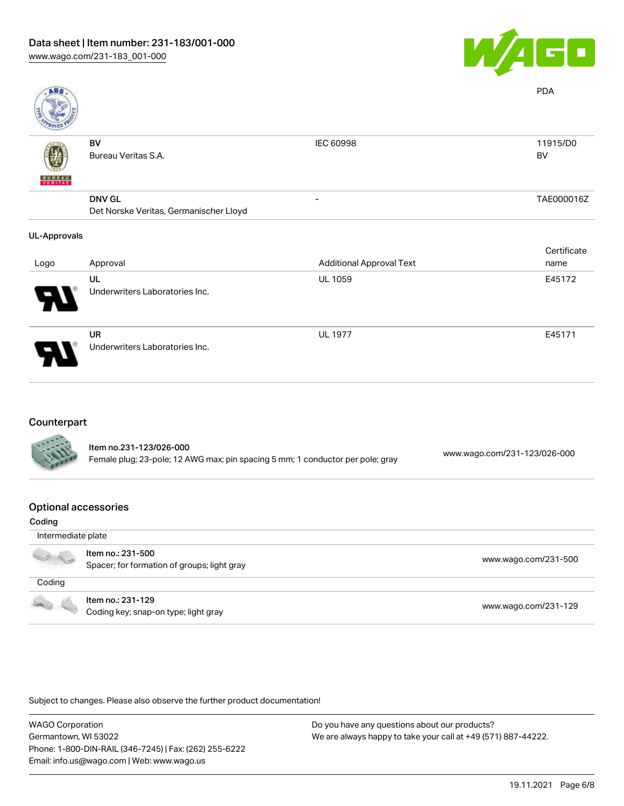

| <b>ABS</b>          |                                        |                                 | <b>PDA</b>  |
|---------------------|----------------------------------------|---------------------------------|-------------|
|                     | BV                                     | IEC 60998                       | 11915/D0    |
|                     | Bureau Veritas S.A.                    |                                 | BV          |
| VERITAS             |                                        |                                 |             |
|                     | <b>DNV GL</b>                          | $\overline{\phantom{0}}$        | TAE000016Z  |
|                     | Det Norske Veritas, Germanischer Lloyd |                                 |             |
| <b>UL-Approvals</b> |                                        |                                 |             |
|                     |                                        |                                 | Certificate |
| Logo                | Approval                               | <b>Additional Approval Text</b> | name        |
|                     | UL                                     | <b>UL 1059</b>                  | E45172      |
|                     | Underwriters Laboratories Inc.         |                                 |             |
|                     | UR                                     | <b>UL 1977</b>                  | E45171      |
|                     | Underwriters Laboratories Inc.         |                                 |             |
|                     |                                        |                                 |             |

#### Counterpart

| <b>CARL AND</b> | Item no.231-123/026-000<br>Female plug; 23-pole; 12 AWG max; pin spacing 5 mm; 1 conductor per pole; gray | www.wago.com/231-123/026-000 |
|-----------------|-----------------------------------------------------------------------------------------------------------|------------------------------|
|                 |                                                                                                           |                              |

#### Optional accessories

| Coding             |                                                                  |                      |  |  |
|--------------------|------------------------------------------------------------------|----------------------|--|--|
| Intermediate plate |                                                                  |                      |  |  |
|                    | Item no.: 231-500<br>Spacer; for formation of groups; light gray | www.wago.com/231-500 |  |  |
| Coding             |                                                                  |                      |  |  |
| <b>COLLA</b>       | Item no.: 231-129<br>Coding key; snap-on type; light gray        | www.wago.com/231-129 |  |  |

Subject to changes. Please also observe the further product documentation!

WAGO Corporation Germantown, WI 53022 Phone: 1-800-DIN-RAIL (346-7245) | Fax: (262) 255-6222 Email: info.us@wago.com | Web: www.wago.us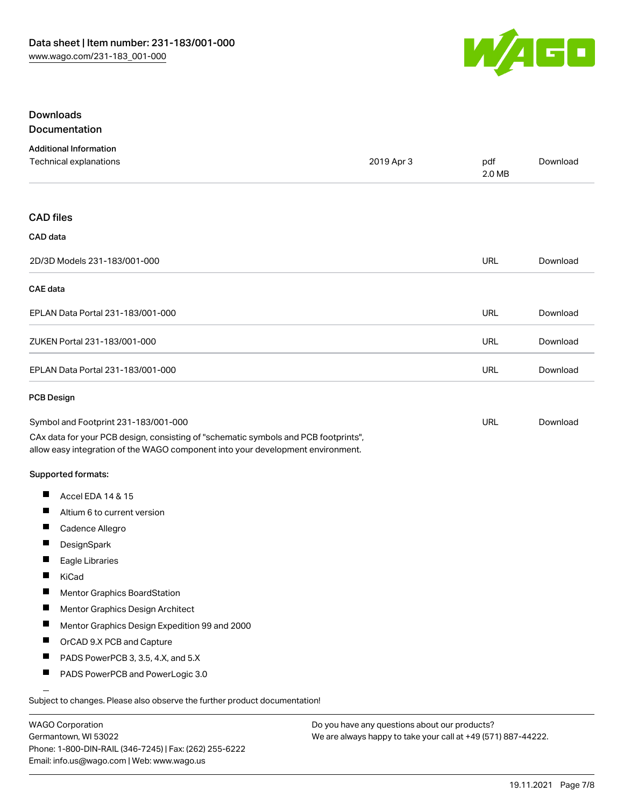

#### Downloads Documentation

|  |  | <u>,,,,,,,,,,,,,,,,,,,,,,,</u> |  |
|--|--|--------------------------------|--|
|  |  |                                |  |
|  |  |                                |  |
|  |  |                                |  |

| <b>Additional Information</b><br>Technical explanations                                                                                                                | 2019 Apr 3 | pdf<br>2.0 MB | Download |
|------------------------------------------------------------------------------------------------------------------------------------------------------------------------|------------|---------------|----------|
| <b>CAD files</b>                                                                                                                                                       |            |               |          |
| CAD data                                                                                                                                                               |            |               |          |
| 2D/3D Models 231-183/001-000                                                                                                                                           |            | URL           | Download |
| <b>CAE</b> data                                                                                                                                                        |            |               |          |
| EPLAN Data Portal 231-183/001-000                                                                                                                                      |            | URL           | Download |
| ZUKEN Portal 231-183/001-000                                                                                                                                           |            | <b>URL</b>    | Download |
| EPLAN Data Portal 231-183/001-000                                                                                                                                      |            | URL           | Download |
| <b>PCB Design</b>                                                                                                                                                      |            |               |          |
| Symbol and Footprint 231-183/001-000                                                                                                                                   |            | URL           | Download |
| CAx data for your PCB design, consisting of "schematic symbols and PCB footprints",<br>allow easy integration of the WAGO component into your development environment. |            |               |          |
| <b>Supported formats:</b>                                                                                                                                              |            |               |          |
| Ш<br>Accel EDA 14 & 15                                                                                                                                                 |            |               |          |
| Ш<br>Altium 6 to current version                                                                                                                                       |            |               |          |
| Ш<br>Cadence Allegro                                                                                                                                                   |            |               |          |
| ш<br>DesignSpark                                                                                                                                                       |            |               |          |
| П<br>Eagle Libraries                                                                                                                                                   |            |               |          |
| ш<br>KiCad                                                                                                                                                             |            |               |          |
| Mentor Graphics BoardStation                                                                                                                                           |            |               |          |
| ш<br>Mentor Graphics Design Architect                                                                                                                                  |            |               |          |
| Mentor Graphics Design Expedition 99 and 2000<br>a ka                                                                                                                  |            |               |          |
| Ш<br>OrCAD 9.X PCB and Capture                                                                                                                                         |            |               |          |
| ш<br>PADS PowerPCB 3, 3.5, 4.X, and 5.X                                                                                                                                |            |               |          |
| ш<br>PADS PowerPCB and PowerLogic 3.0                                                                                                                                  |            |               |          |
| Subject to changes. Please also observe the further product documentation!                                                                                             |            |               |          |